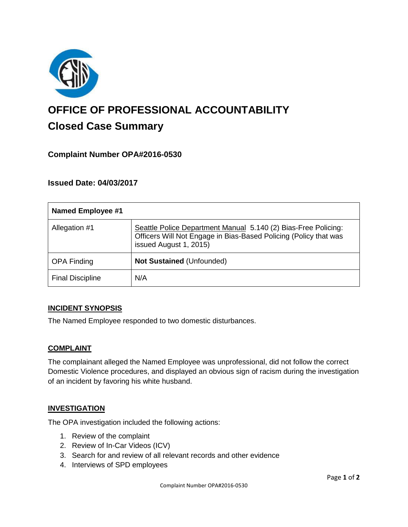

# **OFFICE OF PROFESSIONAL ACCOUNTABILITY Closed Case Summary**

# **Complaint Number OPA#2016-0530**

## **Issued Date: 04/03/2017**

| <b>Named Employee #1</b> |                                                                                                                                                              |
|--------------------------|--------------------------------------------------------------------------------------------------------------------------------------------------------------|
| Allegation #1            | Seattle Police Department Manual 5.140 (2) Bias-Free Policing:<br>Officers Will Not Engage in Bias-Based Policing (Policy that was<br>issued August 1, 2015) |
| <b>OPA Finding</b>       | <b>Not Sustained (Unfounded)</b>                                                                                                                             |
| <b>Final Discipline</b>  | N/A                                                                                                                                                          |

#### **INCIDENT SYNOPSIS**

The Named Employee responded to two domestic disturbances.

#### **COMPLAINT**

The complainant alleged the Named Employee was unprofessional, did not follow the correct Domestic Violence procedures, and displayed an obvious sign of racism during the investigation of an incident by favoring his white husband.

#### **INVESTIGATION**

The OPA investigation included the following actions:

- 1. Review of the complaint
- 2. Review of In-Car Videos (ICV)
- 3. Search for and review of all relevant records and other evidence
- 4. Interviews of SPD employees